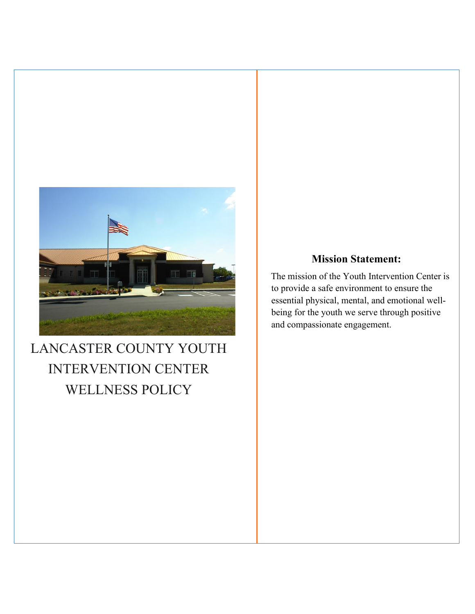

# LANCASTER COUNTY YOUTH INTERVENTION CENTER WELLNESS POLICY

# **Mission Statement:**

The mission of the Youth Intervention Center is to provide a safe environment to ensure the essential physical, mental, and emotional wellbeing for the youth we serve through positive and compassionate engagement.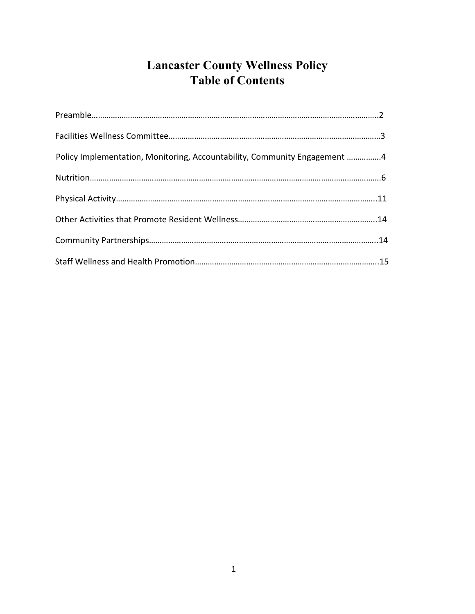# **Lancaster County Wellness Policy Table of Contents**

| Policy Implementation, Monitoring, Accountability, Community Engagement 4 |  |
|---------------------------------------------------------------------------|--|
|                                                                           |  |
|                                                                           |  |
|                                                                           |  |
|                                                                           |  |
|                                                                           |  |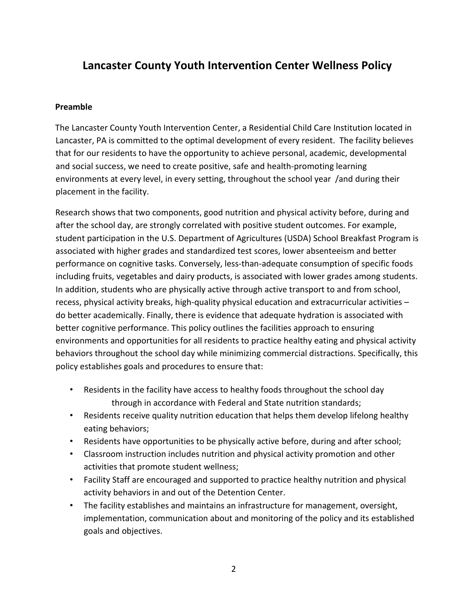# **Lancaster County Youth Intervention Center Wellness Policy**

#### **Preamble**

The Lancaster County Youth Intervention Center, a Residential Child Care Institution located in Lancaster, PA is committed to the optimal development of every resident. The facility believes that for our residents to have the opportunity to achieve personal, academic, developmental and social success, we need to create positive, safe and health-promoting learning environments at every level, in every setting, throughout the school year /and during their placement in the facility.

Research shows that two components, good nutrition and physical activity before, during and after the school day, are strongly correlated with positive student outcomes. For example, student participation in the U.S. Department of Agricultures (USDA) School Breakfast Program is associated with higher grades and standardized test scores, lower absenteeism and better performance on cognitive tasks. Conversely, less-than-adequate consumption of specific foods including fruits, vegetables and dairy products, is associated with lower grades among students. In addition, students who are physically active through active transport to and from school, recess, physical activity breaks, high-quality physical education and extracurricular activities – do better academically. Finally, there is evidence that adequate hydration is associated with better cognitive performance. This policy outlines the facilities approach to ensuring environments and opportunities for all residents to practice healthy eating and physical activity behaviors throughout the school day while minimizing commercial distractions. Specifically, this policy establishes goals and procedures to ensure that:

- Residents in the facility have access to healthy foods throughout the school day through in accordance with Federal and State nutrition standards;
- Residents receive quality nutrition education that helps them develop lifelong healthy eating behaviors;
- Residents have opportunities to be physically active before, during and after school;
- Classroom instruction includes nutrition and physical activity promotion and other activities that promote student wellness;
- Facility Staff are encouraged and supported to practice healthy nutrition and physical activity behaviors in and out of the Detention Center.
- The facility establishes and maintains an infrastructure for management, oversight, implementation, communication about and monitoring of the policy and its established goals and objectives.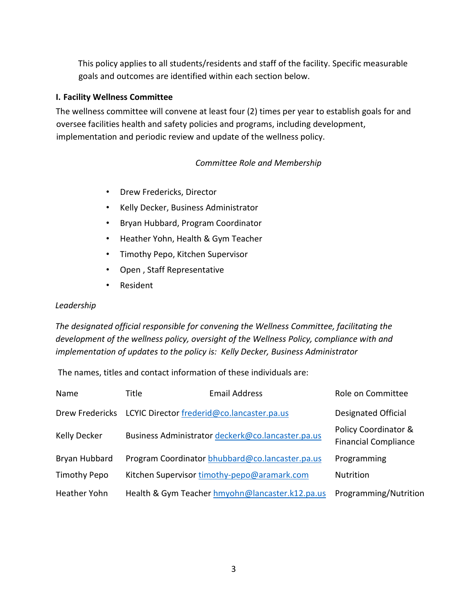This policy applies to all students/residents and staff of the facility. Specific measurable goals and outcomes are identified within each section below.

#### **I. Facility Wellness Committee**

The wellness committee will convene at least four (2) times per year to establish goals for and oversee facilities health and safety policies and programs, including development, implementation and periodic review and update of the wellness policy.

#### *Committee Role and Membership*

- Drew Fredericks, Director
- Kelly Decker, Business Administrator
- Bryan Hubbard, Program Coordinator
- Heather Yohn, Health & Gym Teacher
- Timothy Pepo, Kitchen Supervisor
- Open , Staff Representative
- Resident

#### *Leadership*

*The designated official responsible for convening the Wellness Committee, facilitating the development of the wellness policy, oversight of the Wellness Policy, compliance with and implementation of updates to the policy is: Kelly Decker, Business Administrator*

The names, titles and contact information of these individuals are:

| Name                | Title | <b>Email Address</b>                              | Role on Committee                                   |
|---------------------|-------|---------------------------------------------------|-----------------------------------------------------|
| Drew Fredericks     |       | LCYIC Director frederid@co.lancaster.pa.us        | <b>Designated Official</b>                          |
| Kelly Decker        |       | Business Administrator deckerk@co.lancaster.pa.us | Policy Coordinator &<br><b>Financial Compliance</b> |
| Bryan Hubbard       |       | Program Coordinator bhubbard@co.lancaster.pa.us   | Programming                                         |
| <b>Timothy Pepo</b> |       | Kitchen Supervisor timothy-pepo@aramark.com       | <b>Nutrition</b>                                    |
| Heather Yohn        |       | Health & Gym Teacher hmyohn@lancaster.k12.pa.us   | Programming/Nutrition                               |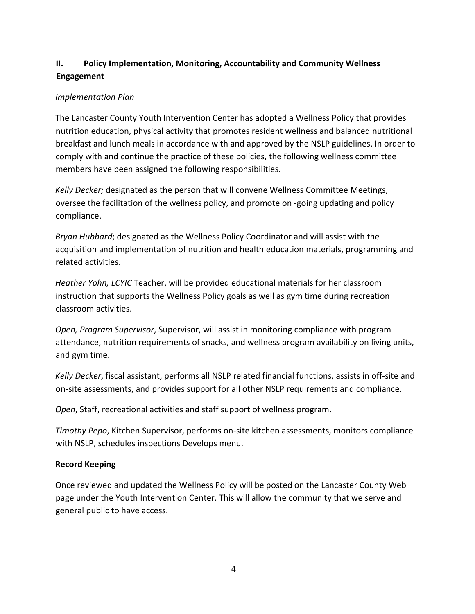# **II. Policy Implementation, Monitoring, Accountability and Community Wellness Engagement**

### *Implementation Plan*

The Lancaster County Youth Intervention Center has adopted a Wellness Policy that provides nutrition education, physical activity that promotes resident wellness and balanced nutritional breakfast and lunch meals in accordance with and approved by the NSLP guidelines. In order to comply with and continue the practice of these policies, the following wellness committee members have been assigned the following responsibilities.

*Kelly Decker;* designated as the person that will convene Wellness Committee Meetings, oversee the facilitation of the wellness policy, and promote on -going updating and policy compliance.

*Bryan Hubbard*; designated as the Wellness Policy Coordinator and will assist with the acquisition and implementation of nutrition and health education materials, programming and related activities.

*Heather Yohn, LCYIC* Teacher, will be provided educational materials for her classroom instruction that supports the Wellness Policy goals as well as gym time during recreation classroom activities.

*Open, Program Supervisor*, Supervisor, will assist in monitoring compliance with program attendance, nutrition requirements of snacks, and wellness program availability on living units, and gym time.

*Kelly Decker*, fiscal assistant, performs all NSLP related financial functions, assists in off-site and on-site assessments, and provides support for all other NSLP requirements and compliance.

*Open*, Staff, recreational activities and staff support of wellness program.

*Timothy Pepo*, Kitchen Supervisor, performs on-site kitchen assessments, monitors compliance with NSLP, schedules inspections Develops menu.

#### **Record Keeping**

Once reviewed and updated the Wellness Policy will be posted on the Lancaster County Web page under the Youth Intervention Center. This will allow the community that we serve and general public to have access.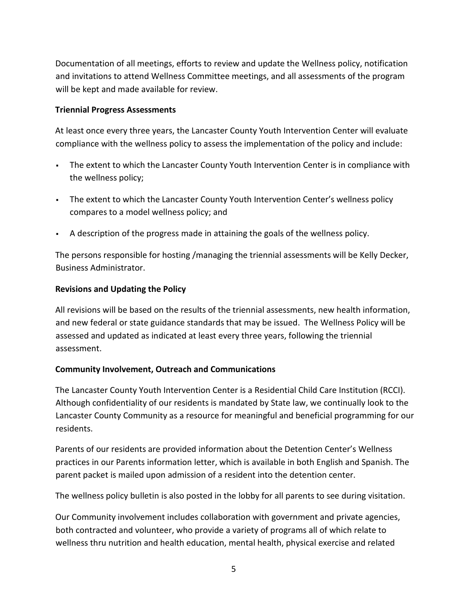Documentation of all meetings, efforts to review and update the Wellness policy, notification and invitations to attend Wellness Committee meetings, and all assessments of the program will be kept and made available for review.

#### **Triennial Progress Assessments**

At least once every three years, the Lancaster County Youth Intervention Center will evaluate compliance with the wellness policy to assess the implementation of the policy and include:

- The extent to which the Lancaster County Youth Intervention Center is in compliance with the wellness policy;
- The extent to which the Lancaster County Youth Intervention Center's wellness policy compares to a model wellness policy; and
- A description of the progress made in attaining the goals of the wellness policy.

The persons responsible for hosting /managing the triennial assessments will be Kelly Decker, Business Administrator.

#### **Revisions and Updating the Policy**

All revisions will be based on the results of the triennial assessments, new health information, and new federal or state guidance standards that may be issued. The Wellness Policy will be assessed and updated as indicated at least every three years, following the triennial assessment.

#### **Community Involvement, Outreach and Communications**

The Lancaster County Youth Intervention Center is a Residential Child Care Institution (RCCI). Although confidentiality of our residents is mandated by State law, we continually look to the Lancaster County Community as a resource for meaningful and beneficial programming for our residents.

Parents of our residents are provided information about the Detention Center's Wellness practices in our Parents information letter, which is available in both English and Spanish. The parent packet is mailed upon admission of a resident into the detention center.

The wellness policy bulletin is also posted in the lobby for all parents to see during visitation.

Our Community involvement includes collaboration with government and private agencies, both contracted and volunteer, who provide a variety of programs all of which relate to wellness thru nutrition and health education, mental health, physical exercise and related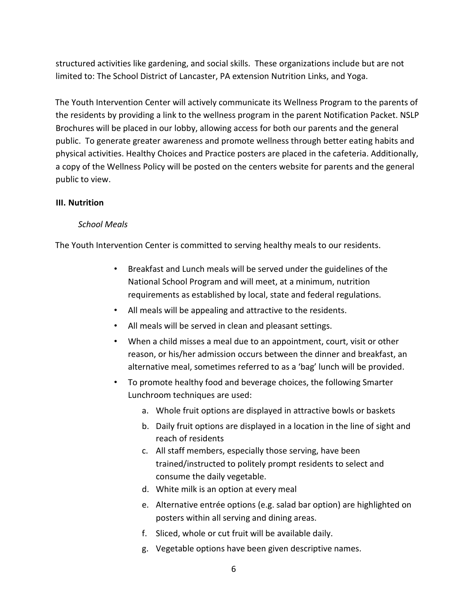structured activities like gardening, and social skills. These organizations include but are not limited to: The School District of Lancaster, PA extension Nutrition Links, and Yoga.

The Youth Intervention Center will actively communicate its Wellness Program to the parents of the residents by providing a link to the wellness program in the parent Notification Packet. NSLP Brochures will be placed in our lobby, allowing access for both our parents and the general public. To generate greater awareness and promote wellness through better eating habits and physical activities. Healthy Choices and Practice posters are placed in the cafeteria. Additionally, a copy of the Wellness Policy will be posted on the centers website for parents and the general public to view.

#### **III. Nutrition**

#### *School Meals*

The Youth Intervention Center is committed to serving healthy meals to our residents.

- Breakfast and Lunch meals will be served under the guidelines of the National School Program and will meet, at a minimum, nutrition requirements as established by local, state and federal regulations.
- All meals will be appealing and attractive to the residents.
- All meals will be served in clean and pleasant settings.
- When a child misses a meal due to an appointment, court, visit or other reason, or his/her admission occurs between the dinner and breakfast, an alternative meal, sometimes referred to as a 'bag' lunch will be provided.
- To promote healthy food and beverage choices, the following Smarter Lunchroom techniques are used:
	- a. Whole fruit options are displayed in attractive bowls or baskets
	- b. Daily fruit options are displayed in a location in the line of sight and reach of residents
	- c. All staff members, especially those serving, have been trained/instructed to politely prompt residents to select and consume the daily vegetable.
	- d. White milk is an option at every meal
	- e. Alternative entrée options (e.g. salad bar option) are highlighted on posters within all serving and dining areas.
	- f. Sliced, whole or cut fruit will be available daily.
	- g. Vegetable options have been given descriptive names.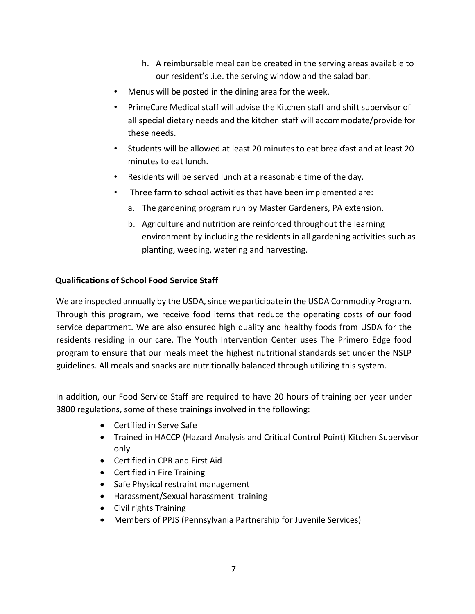- h. A reimbursable meal can be created in the serving areas available to our resident's .i.e. the serving window and the salad bar.
- Menus will be posted in the dining area for the week.
- PrimeCare Medical staff will advise the Kitchen staff and shift supervisor of all special dietary needs and the kitchen staff will accommodate/provide for these needs.
- Students will be allowed at least 20 minutes to eat breakfast and at least 20 minutes to eat lunch.
- Residents will be served lunch at a reasonable time of the day.
- Three farm to school activities that have been implemented are:
	- a. The gardening program run by Master Gardeners, PA extension.
	- b. Agriculture and nutrition are reinforced throughout the learning environment by including the residents in all gardening activities such as planting, weeding, watering and harvesting.

#### **Qualifications of School Food Service Staff**

We are inspected annually by the USDA, since we participate in the USDA Commodity Program. Through this program, we receive food items that reduce the operating costs of our food service department. We are also ensured high quality and healthy foods from USDA for the residents residing in our care. The Youth Intervention Center uses The Primero Edge food program to ensure that our meals meet the highest nutritional standards set under the NSLP guidelines. All meals and snacks are nutritionally balanced through utilizing this system.

In addition, our Food Service Staff are required to have 20 hours of training per year under 3800 regulations, some of these trainings involved in the following:

- Certified in Serve Safe
- Trained in HACCP (Hazard Analysis and Critical Control Point) Kitchen Supervisor only
- Certified in CPR and First Aid
- Certified in Fire Training
- Safe Physical restraint management
- Harassment/Sexual harassment training
- Civil rights Training
- Members of PPJS (Pennsylvania Partnership for Juvenile Services)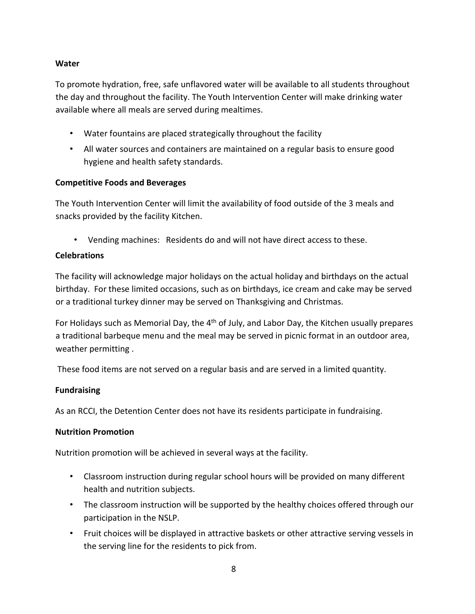# **Water**

To promote hydration, free, safe unflavored water will be available to all students throughout the day and throughout the facility. The Youth Intervention Center will make drinking water available where all meals are served during mealtimes.

- Water fountains are placed strategically throughout the facility
- All water sources and containers are maintained on a regular basis to ensure good hygiene and health safety standards.

### **Competitive Foods and Beverages**

The Youth Intervention Center will limit the availability of food outside of the 3 meals and snacks provided by the facility Kitchen.

• Vending machines: Residents do and will not have direct access to these.

# **Celebrations**

The facility will acknowledge major holidays on the actual holiday and birthdays on the actual birthday. For these limited occasions, such as on birthdays, ice cream and cake may be served or a traditional turkey dinner may be served on Thanksgiving and Christmas.

For Holidays such as Memorial Day, the  $4<sup>th</sup>$  of July, and Labor Day, the Kitchen usually prepares a traditional barbeque menu and the meal may be served in picnic format in an outdoor area, weather permitting .

These food items are not served on a regular basis and are served in a limited quantity.

# **Fundraising**

As an RCCI, the Detention Center does not have its residents participate in fundraising.

# **Nutrition Promotion**

Nutrition promotion will be achieved in several ways at the facility.

- Classroom instruction during regular school hours will be provided on many different health and nutrition subjects.
- The classroom instruction will be supported by the healthy choices offered through our participation in the NSLP.
- Fruit choices will be displayed in attractive baskets or other attractive serving vessels in the serving line for the residents to pick from.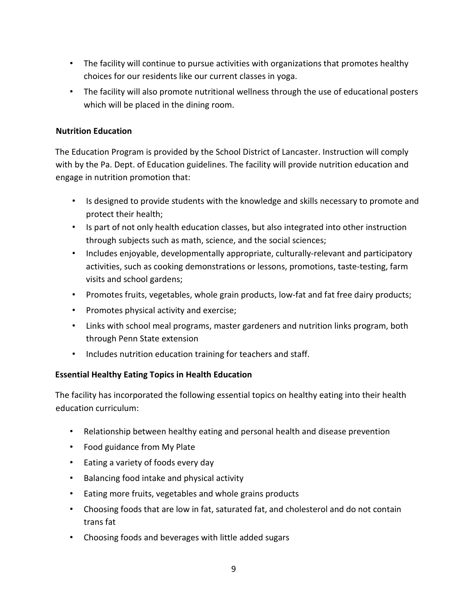- The facility will continue to pursue activities with organizations that promotes healthy choices for our residents like our current classes in yoga.
- The facility will also promote nutritional wellness through the use of educational posters which will be placed in the dining room.

# **Nutrition Education**

The Education Program is provided by the School District of Lancaster. Instruction will comply with by the Pa. Dept. of Education guidelines. The facility will provide nutrition education and engage in nutrition promotion that:

- Is designed to provide students with the knowledge and skills necessary to promote and protect their health;
- Is part of not only health education classes, but also integrated into other instruction through subjects such as math, science, and the social sciences;
- Includes enjoyable, developmentally appropriate, culturally-relevant and participatory activities, such as cooking demonstrations or lessons, promotions, taste-testing, farm visits and school gardens;
- Promotes fruits, vegetables, whole grain products, low-fat and fat free dairy products;
- Promotes physical activity and exercise;
- Links with school meal programs, master gardeners and nutrition links program, both through Penn State extension
- Includes nutrition education training for teachers and staff.

#### **Essential Healthy Eating Topics in Health Education**

The facility has incorporated the following essential topics on healthy eating into their health education curriculum:

- Relationship between healthy eating and personal health and disease prevention
- Food guidance from My Plate
- Eating a variety of foods every day
- Balancing food intake and physical activity
- Eating more fruits, vegetables and whole grains products
- Choosing foods that are low in fat, saturated fat, and cholesterol and do not contain trans fat
- Choosing foods and beverages with little added sugars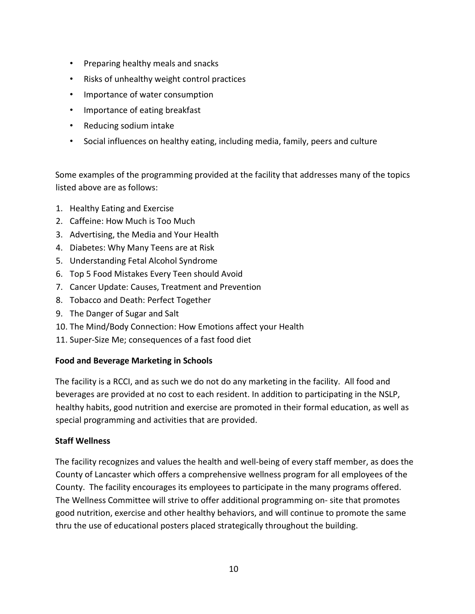- Preparing healthy meals and snacks
- Risks of unhealthy weight control practices
- Importance of water consumption
- Importance of eating breakfast
- Reducing sodium intake
- Social influences on healthy eating, including media, family, peers and culture

Some examples of the programming provided at the facility that addresses many of the topics listed above are as follows:

- 1. Healthy Eating and Exercise
- 2. Caffeine: How Much is Too Much
- 3. Advertising, the Media and Your Health
- 4. Diabetes: Why Many Teens are at Risk
- 5. Understanding Fetal Alcohol Syndrome
- 6. Top 5 Food Mistakes Every Teen should Avoid
- 7. Cancer Update: Causes, Treatment and Prevention
- 8. Tobacco and Death: Perfect Together
- 9. The Danger of Sugar and Salt
- 10. The Mind/Body Connection: How Emotions affect your Health
- 11. Super-Size Me; consequences of a fast food diet

# **Food and Beverage Marketing in Schools**

The facility is a RCCI, and as such we do not do any marketing in the facility. All food and beverages are provided at no cost to each resident. In addition to participating in the NSLP, healthy habits, good nutrition and exercise are promoted in their formal education, as well as special programming and activities that are provided.

# **Staff Wellness**

The facility recognizes and values the health and well-being of every staff member, as does the County of Lancaster which offers a comprehensive wellness program for all employees of the County. The facility encourages its employees to participate in the many programs offered. The Wellness Committee will strive to offer additional programming on- site that promotes good nutrition, exercise and other healthy behaviors, and will continue to promote the same thru the use of educational posters placed strategically throughout the building.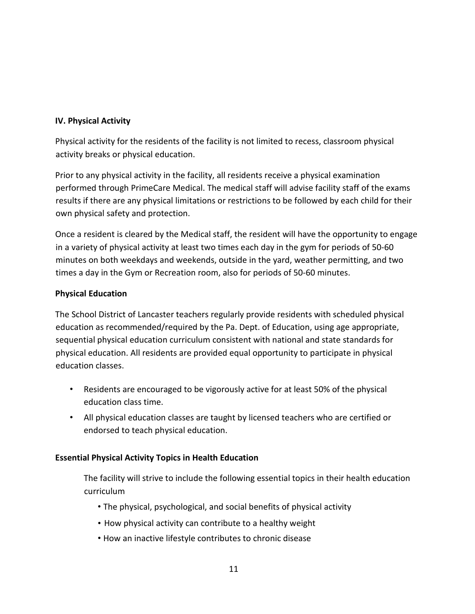# **IV. Physical Activity**

Physical activity for the residents of the facility is not limited to recess, classroom physical activity breaks or physical education.

Prior to any physical activity in the facility, all residents receive a physical examination performed through PrimeCare Medical. The medical staff will advise facility staff of the exams results if there are any physical limitations or restrictions to be followed by each child for their own physical safety and protection.

Once a resident is cleared by the Medical staff, the resident will have the opportunity to engage in a variety of physical activity at least two times each day in the gym for periods of 50-60 minutes on both weekdays and weekends, outside in the yard, weather permitting, and two times a day in the Gym or Recreation room, also for periods of 50-60 minutes.

# **Physical Education**

The School District of Lancaster teachers regularly provide residents with scheduled physical education as recommended/required by the Pa. Dept. of Education, using age appropriate, sequential physical education curriculum consistent with national and state standards for physical education. All residents are provided equal opportunity to participate in physical education classes.

- Residents are encouraged to be vigorously active for at least 50% of the physical education class time.
- All physical education classes are taught by licensed teachers who are certified or endorsed to teach physical education.

# **Essential Physical Activity Topics in Health Education**

The facility will strive to include the following essential topics in their health education curriculum

- The physical, psychological, and social benefits of physical activity
- How physical activity can contribute to a healthy weight
- How an inactive lifestyle contributes to chronic disease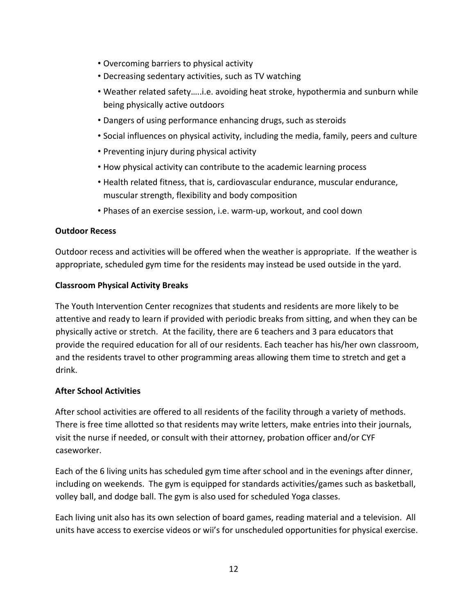- Overcoming barriers to physical activity
- Decreasing sedentary activities, such as TV watching
- Weather related safety…..i.e. avoiding heat stroke, hypothermia and sunburn while being physically active outdoors
- Dangers of using performance enhancing drugs, such as steroids
- Social influences on physical activity, including the media, family, peers and culture
- Preventing injury during physical activity
- How physical activity can contribute to the academic learning process
- Health related fitness, that is, cardiovascular endurance, muscular endurance, muscular strength, flexibility and body composition
- Phases of an exercise session, i.e. warm-up, workout, and cool down

#### **Outdoor Recess**

Outdoor recess and activities will be offered when the weather is appropriate. If the weather is appropriate, scheduled gym time for the residents may instead be used outside in the yard.

#### **Classroom Physical Activity Breaks**

The Youth Intervention Center recognizes that students and residents are more likely to be attentive and ready to learn if provided with periodic breaks from sitting, and when they can be physically active or stretch. At the facility, there are 6 teachers and 3 para educators that provide the required education for all of our residents. Each teacher has his/her own classroom, and the residents travel to other programming areas allowing them time to stretch and get a drink.

#### **After School Activities**

After school activities are offered to all residents of the facility through a variety of methods. There is free time allotted so that residents may write letters, make entries into their journals, visit the nurse if needed, or consult with their attorney, probation officer and/or CYF caseworker.

Each of the 6 living units has scheduled gym time after school and in the evenings after dinner, including on weekends. The gym is equipped for standards activities/games such as basketball, volley ball, and dodge ball. The gym is also used for scheduled Yoga classes.

Each living unit also has its own selection of board games, reading material and a television. All units have access to exercise videos or wii's for unscheduled opportunities for physical exercise.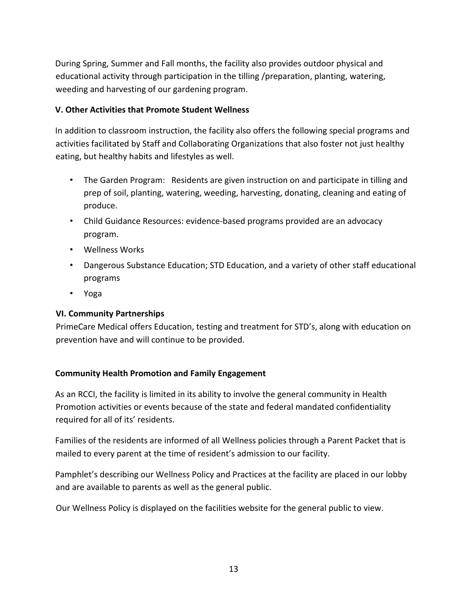During Spring, Summer and Fall months, the facility also provides outdoor physical and educational activity through participation in the tilling /preparation, planting, watering, weeding and harvesting of our gardening program.

#### **V. Other Activities that Promote Student Wellness**

In addition to classroom instruction, the facility also offers the following special programs and activities facilitated by Staff and Collaborating Organizations that also foster not just healthy eating, but healthy habits and lifestyles as well.

- The Garden Program: Residents are given instruction on and participate in tilling and prep of soil, planting, watering, weeding, harvesting, donating, cleaning and eating of produce.
- Child Guidance Resources: evidence-based programs provided are an advocacy program.
- Wellness Works
- Dangerous Substance Education; STD Education, and a variety of other staff educational programs
- Yoga

# **VI. Community Partnerships**

PrimeCare Medical offers Education, testing and treatment for STD's, along with education on prevention have and will continue to be provided.

# **Community Health Promotion and Family Engagement**

As an RCCI, the facility is limited in its ability to involve the general community in Health Promotion activities or events because of the state and federal mandated confidentiality required for all of its' residents.

Families of the residents are informed of all Wellness policies through a Parent Packet that is mailed to every parent at the time of resident's admission to our facility.

Pamphlet's describing our Wellness Policy and Practices at the facility are placed in our lobby and are available to parents as well as the general public.

Our Wellness Policy is displayed on the facilities website for the general public to view.